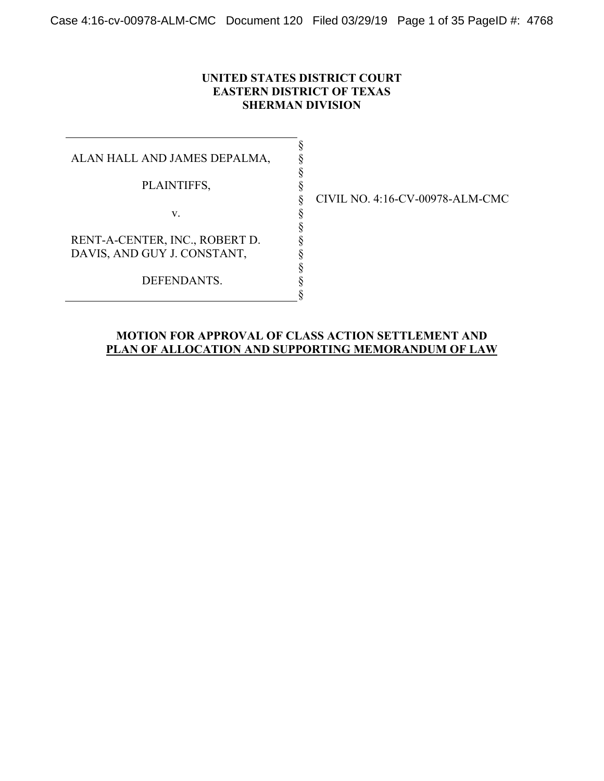### **UNITED STATES DISTRICT COURT EASTERN DISTRICT OF TEXAS SHERMAN DIVISION**

§ § § § § § § § § § § §

ALAN HALL AND JAMES DEPALMA,

PLAINTIFFS,

v.

RENT-A-CENTER, INC., ROBERT D. DAVIS, AND GUY J. CONSTANT,

DEFENDANTS.

CIVIL NO. 4:16-CV-00978-ALM-CMC

### **MOTION FOR APPROVAL OF CLASS ACTION SETTLEMENT AND PLAN OF ALLOCATION AND SUPPORTING MEMORANDUM OF LAW**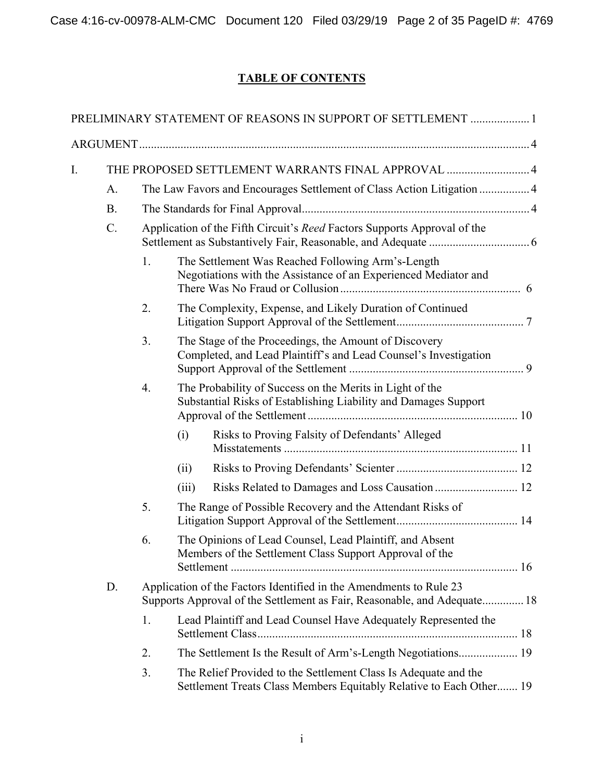# **TABLE OF CONTENTS**

|    |                                                   |                                                                                                                                                |       | PRELIMINARY STATEMENT OF REASONS IN SUPPORT OF SETTLEMENT 1                                                                            |  |  |
|----|---------------------------------------------------|------------------------------------------------------------------------------------------------------------------------------------------------|-------|----------------------------------------------------------------------------------------------------------------------------------------|--|--|
|    |                                                   |                                                                                                                                                |       |                                                                                                                                        |  |  |
| I. | THE PROPOSED SETTLEMENT WARRANTS FINAL APPROVAL 4 |                                                                                                                                                |       |                                                                                                                                        |  |  |
|    | A.                                                | The Law Favors and Encourages Settlement of Class Action Litigation  4                                                                         |       |                                                                                                                                        |  |  |
|    | <b>B.</b>                                         |                                                                                                                                                |       |                                                                                                                                        |  |  |
|    | $C$ .                                             | Application of the Fifth Circuit's <i>Reed</i> Factors Supports Approval of the                                                                |       |                                                                                                                                        |  |  |
|    |                                                   | 1.                                                                                                                                             |       | The Settlement Was Reached Following Arm's-Length<br>Negotiations with the Assistance of an Experienced Mediator and                   |  |  |
|    |                                                   | 2.                                                                                                                                             |       | The Complexity, Expense, and Likely Duration of Continued                                                                              |  |  |
|    |                                                   | 3.                                                                                                                                             |       | The Stage of the Proceedings, the Amount of Discovery<br>Completed, and Lead Plaintiff's and Lead Counsel's Investigation              |  |  |
|    |                                                   | 4.                                                                                                                                             |       | The Probability of Success on the Merits in Light of the<br>Substantial Risks of Establishing Liability and Damages Support            |  |  |
|    |                                                   |                                                                                                                                                | (i)   | Risks to Proving Falsity of Defendants' Alleged                                                                                        |  |  |
|    |                                                   |                                                                                                                                                | (ii)  |                                                                                                                                        |  |  |
|    |                                                   |                                                                                                                                                | (iii) |                                                                                                                                        |  |  |
|    |                                                   | 5.                                                                                                                                             |       | The Range of Possible Recovery and the Attendant Risks of                                                                              |  |  |
|    |                                                   | 6.                                                                                                                                             |       | The Opinions of Lead Counsel, Lead Plaintiff, and Absent<br>Members of the Settlement Class Support Approval of the                    |  |  |
|    | D.                                                | Application of the Factors Identified in the Amendments to Rule 23<br>Supports Approval of the Settlement as Fair, Reasonable, and Adequate 18 |       |                                                                                                                                        |  |  |
|    |                                                   | 1.                                                                                                                                             |       | Lead Plaintiff and Lead Counsel Have Adequately Represented the                                                                        |  |  |
|    |                                                   | 2.                                                                                                                                             |       | The Settlement Is the Result of Arm's-Length Negotiations 19                                                                           |  |  |
|    |                                                   | 3.                                                                                                                                             |       | The Relief Provided to the Settlement Class Is Adequate and the<br>Settlement Treats Class Members Equitably Relative to Each Other 19 |  |  |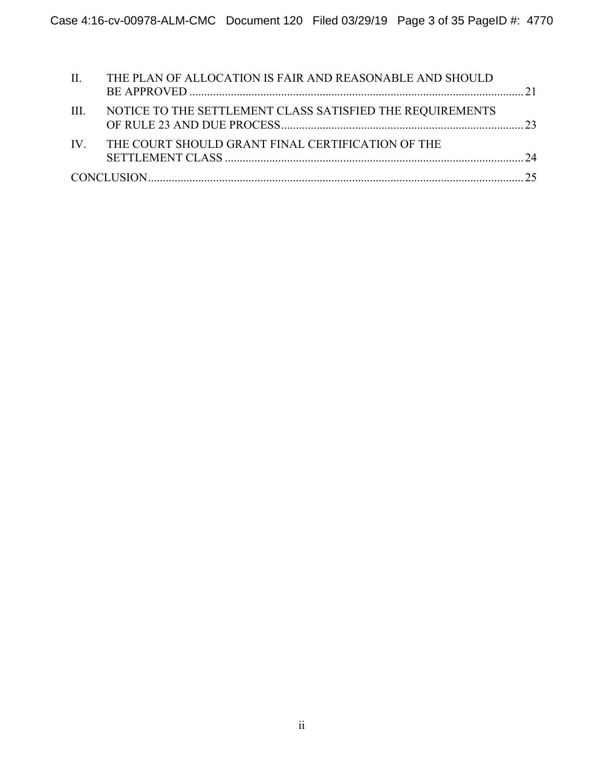| $\mathbf{II}$ . | THE PLAN OF ALLOCATION IS FAIR AND REASONABLE AND SHOULD  |  |
|-----------------|-----------------------------------------------------------|--|
| -HI -           | NOTICE TO THE SETTLEMENT CLASS SATISFIED THE REQUIREMENTS |  |
|                 | IV. THE COURT SHOULD GRANT FINAL CERTIFICATION OF THE     |  |
|                 |                                                           |  |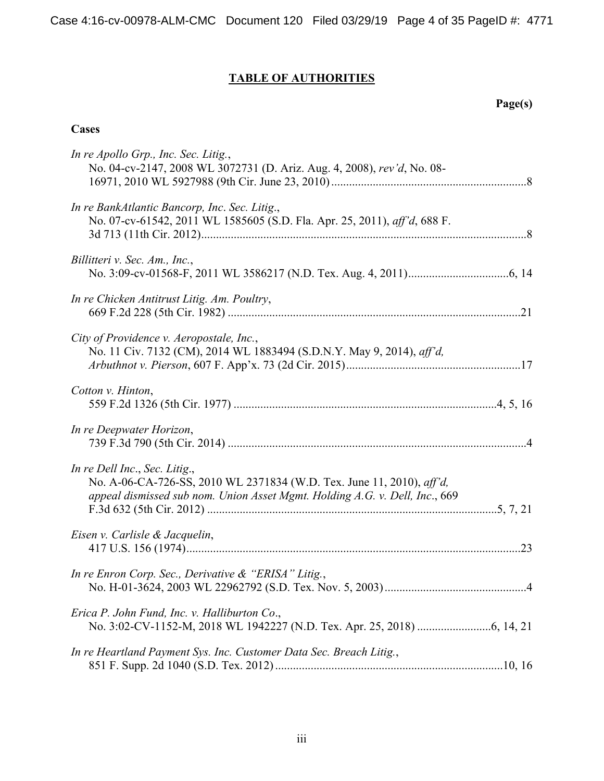# **TABLE OF AUTHORITIES**

# **Cases**

| In re Apollo Grp., Inc. Sec. Litig.,<br>No. 04-cv-2147, 2008 WL 3072731 (D. Ariz. Aug. 4, 2008), rev'd, No. 08-                                                                       |         |
|---------------------------------------------------------------------------------------------------------------------------------------------------------------------------------------|---------|
| In re BankAtlantic Bancorp, Inc. Sec. Litig.,<br>No. 07-cv-61542, 2011 WL 1585605 (S.D. Fla. Apr. 25, 2011), aff'd, 688 F.                                                            |         |
| Billitteri v. Sec. Am., Inc.,                                                                                                                                                         |         |
| In re Chicken Antitrust Litig. Am. Poultry,                                                                                                                                           |         |
| City of Providence v. Aeropostale, Inc.,<br>No. 11 Civ. 7132 (CM), 2014 WL 1883494 (S.D.N.Y. May 9, 2014), aff'd,                                                                     |         |
| Cotton v. Hinton,                                                                                                                                                                     |         |
| In re Deepwater Horizon,                                                                                                                                                              |         |
| In re Dell Inc., Sec. Litig.,<br>No. A-06-CA-726-SS, 2010 WL 2371834 (W.D. Tex. June 11, 2010), aff'd,<br>appeal dismissed sub nom. Union Asset Mgmt. Holding A.G. v. Dell, Inc., 669 |         |
| Eisen v. Carlisle & Jacquelin,                                                                                                                                                        |         |
| In re Enron Corp. Sec., Derivative $\&$ "ERISA" Litig.,<br>No. H-01-3624, 2003 WL 22962792 (S.D. Tex. Nov. 5, 2003)                                                                   | $\cdot$ |
| Erica P. John Fund, Inc. v. Halliburton Co.,                                                                                                                                          |         |
| In re Heartland Payment Sys. Inc. Customer Data Sec. Breach Litig.,                                                                                                                   |         |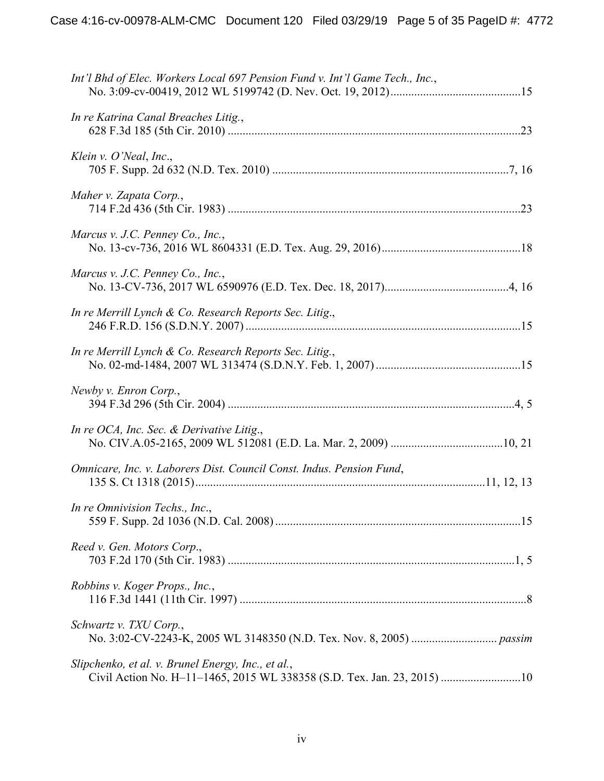| Int'l Bhd of Elec. Workers Local 697 Pension Fund v. Int'l Game Tech., Inc.,                                                  |  |
|-------------------------------------------------------------------------------------------------------------------------------|--|
| In re Katrina Canal Breaches Litig.,                                                                                          |  |
| Klein v. $O'$ Neal, Inc.,                                                                                                     |  |
| Maher v. Zapata Corp.,                                                                                                        |  |
| Marcus v. J.C. Penney Co., Inc.,                                                                                              |  |
| Marcus v. J.C. Penney Co., Inc.,                                                                                              |  |
| In re Merrill Lynch & Co. Research Reports Sec. Litig.,                                                                       |  |
| In re Merrill Lynch & Co. Research Reports Sec. Litig.,                                                                       |  |
| Newby v. Enron Corp.,                                                                                                         |  |
| In re OCA, Inc. Sec. & Derivative Litig.,                                                                                     |  |
| Omnicare, Inc. v. Laborers Dist. Council Const. Indus. Pension Fund,                                                          |  |
| In re Omnivision Techs., Inc.,                                                                                                |  |
| Reed v. Gen. Motors Corp.,                                                                                                    |  |
| Robbins v. Koger Props., Inc.,                                                                                                |  |
| Schwartz v. TXU Corp.,                                                                                                        |  |
| Slipchenko, et al. v. Brunel Energy, Inc., et al.,<br>Civil Action No. H-11-1465, 2015 WL 338358 (S.D. Tex. Jan. 23, 2015) 10 |  |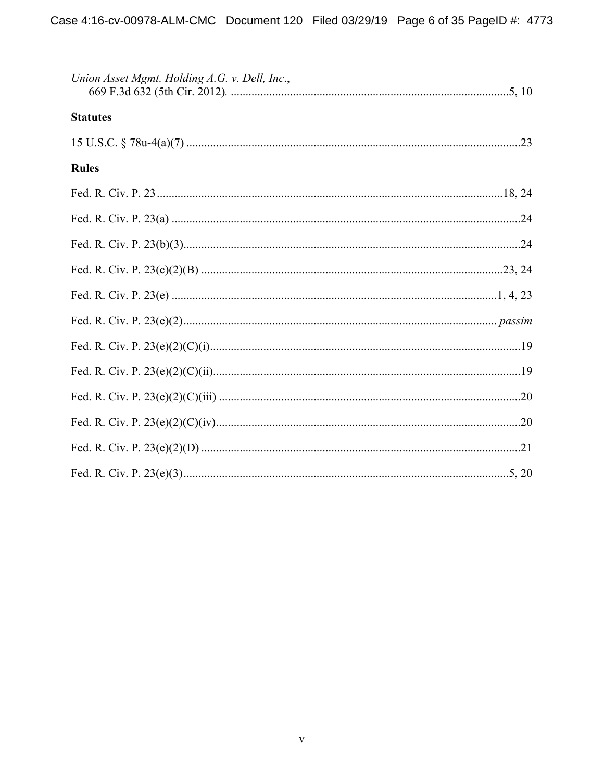| Union Asset Mgmt. Holding A.G. v. Dell, Inc., |  |
|-----------------------------------------------|--|
| <b>Statutes</b>                               |  |
|                                               |  |
| <b>Rules</b>                                  |  |
|                                               |  |
|                                               |  |
|                                               |  |
|                                               |  |
|                                               |  |
|                                               |  |
|                                               |  |
|                                               |  |
|                                               |  |
|                                               |  |
|                                               |  |
|                                               |  |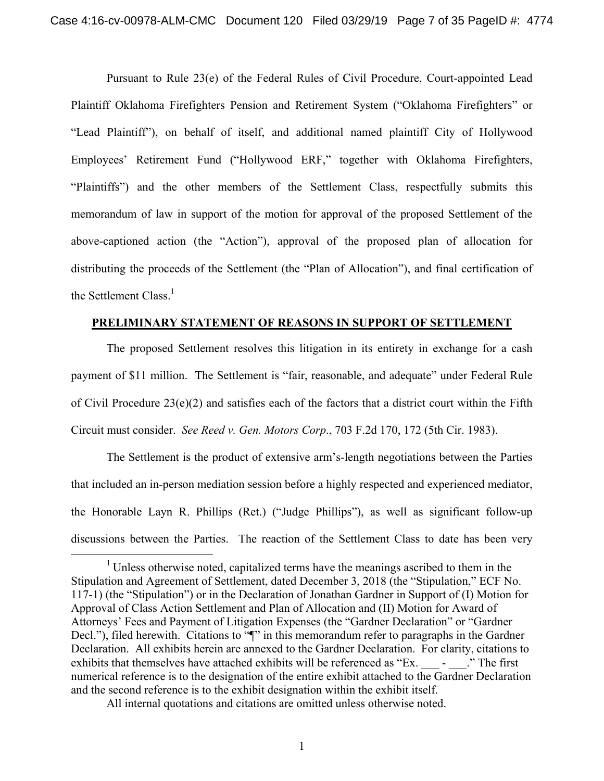Pursuant to Rule 23(e) of the Federal Rules of Civil Procedure, Court-appointed Lead Plaintiff Oklahoma Firefighters Pension and Retirement System ("Oklahoma Firefighters" or "Lead Plaintiff"), on behalf of itself, and additional named plaintiff City of Hollywood Employees' Retirement Fund ("Hollywood ERF," together with Oklahoma Firefighters, "Plaintiffs") and the other members of the Settlement Class, respectfully submits this memorandum of law in support of the motion for approval of the proposed Settlement of the above-captioned action (the "Action"), approval of the proposed plan of allocation for distributing the proceeds of the Settlement (the "Plan of Allocation"), and final certification of the Settlement Class.<sup>1</sup>

### **PRELIMINARY STATEMENT OF REASONS IN SUPPORT OF SETTLEMENT**

The proposed Settlement resolves this litigation in its entirety in exchange for a cash payment of \$11 million. The Settlement is "fair, reasonable, and adequate" under Federal Rule of Civil Procedure 23(e)(2) and satisfies each of the factors that a district court within the Fifth Circuit must consider. *See Reed v. Gen. Motors Corp*., 703 F.2d 170, 172 (5th Cir. 1983).

The Settlement is the product of extensive arm's-length negotiations between the Parties that included an in-person mediation session before a highly respected and experienced mediator, the Honorable Layn R. Phillips (Ret.) ("Judge Phillips"), as well as significant follow-up discussions between the Parties. The reaction of the Settlement Class to date has been very

 $1$  Unless otherwise noted, capitalized terms have the meanings ascribed to them in the Stipulation and Agreement of Settlement, dated December 3, 2018 (the "Stipulation," ECF No. 117-1) (the "Stipulation") or in the Declaration of Jonathan Gardner in Support of (I) Motion for Approval of Class Action Settlement and Plan of Allocation and (II) Motion for Award of Attorneys' Fees and Payment of Litigation Expenses (the "Gardner Declaration" or "Gardner Decl."), filed herewith. Citations to " $\mathbb{I}$ " in this memorandum refer to paragraphs in the Gardner Declaration. All exhibits herein are annexed to the Gardner Declaration. For clarity, citations to exhibits that themselves have attached exhibits will be referenced as "Ex.  $\qquad \qquad$  -  $\qquad$  "The first" numerical reference is to the designation of the entire exhibit attached to the Gardner Declaration and the second reference is to the exhibit designation within the exhibit itself.

All internal quotations and citations are omitted unless otherwise noted.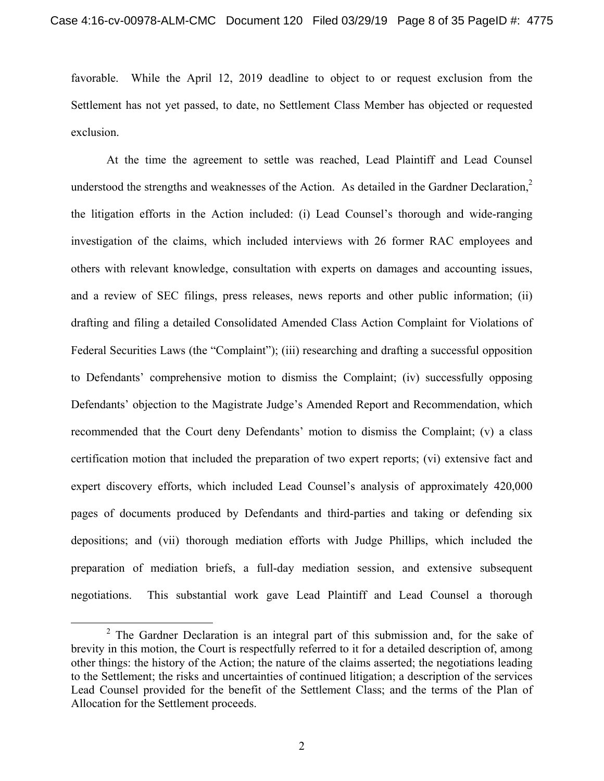favorable. While the April 12, 2019 deadline to object to or request exclusion from the Settlement has not yet passed, to date, no Settlement Class Member has objected or requested exclusion.

At the time the agreement to settle was reached, Lead Plaintiff and Lead Counsel understood the strengths and weaknesses of the Action. As detailed in the Gardner Declaration, $2$ the litigation efforts in the Action included: (i) Lead Counsel's thorough and wide-ranging investigation of the claims, which included interviews with 26 former RAC employees and others with relevant knowledge, consultation with experts on damages and accounting issues, and a review of SEC filings, press releases, news reports and other public information; (ii) drafting and filing a detailed Consolidated Amended Class Action Complaint for Violations of Federal Securities Laws (the "Complaint"); (iii) researching and drafting a successful opposition to Defendants' comprehensive motion to dismiss the Complaint; (iv) successfully opposing Defendants' objection to the Magistrate Judge's Amended Report and Recommendation, which recommended that the Court deny Defendants' motion to dismiss the Complaint; (v) a class certification motion that included the preparation of two expert reports; (vi) extensive fact and expert discovery efforts, which included Lead Counsel's analysis of approximately 420,000 pages of documents produced by Defendants and third-parties and taking or defending six depositions; and (vii) thorough mediation efforts with Judge Phillips, which included the preparation of mediation briefs, a full-day mediation session, and extensive subsequent negotiations. This substantial work gave Lead Plaintiff and Lead Counsel a thorough

 $\frac{1}{2}$  $2$  The Gardner Declaration is an integral part of this submission and, for the sake of brevity in this motion, the Court is respectfully referred to it for a detailed description of, among other things: the history of the Action; the nature of the claims asserted; the negotiations leading to the Settlement; the risks and uncertainties of continued litigation; a description of the services Lead Counsel provided for the benefit of the Settlement Class; and the terms of the Plan of Allocation for the Settlement proceeds.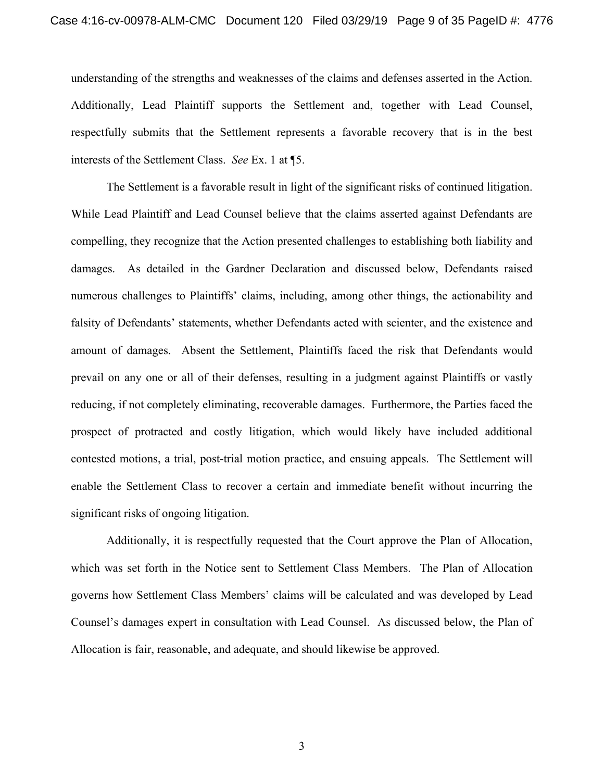understanding of the strengths and weaknesses of the claims and defenses asserted in the Action. Additionally, Lead Plaintiff supports the Settlement and, together with Lead Counsel, respectfully submits that the Settlement represents a favorable recovery that is in the best interests of the Settlement Class. *See* Ex. 1 at ¶5.

The Settlement is a favorable result in light of the significant risks of continued litigation. While Lead Plaintiff and Lead Counsel believe that the claims asserted against Defendants are compelling, they recognize that the Action presented challenges to establishing both liability and damages. As detailed in the Gardner Declaration and discussed below, Defendants raised numerous challenges to Plaintiffs' claims, including, among other things, the actionability and falsity of Defendants' statements, whether Defendants acted with scienter, and the existence and amount of damages. Absent the Settlement, Plaintiffs faced the risk that Defendants would prevail on any one or all of their defenses, resulting in a judgment against Plaintiffs or vastly reducing, if not completely eliminating, recoverable damages. Furthermore, the Parties faced the prospect of protracted and costly litigation, which would likely have included additional contested motions, a trial, post-trial motion practice, and ensuing appeals. The Settlement will enable the Settlement Class to recover a certain and immediate benefit without incurring the significant risks of ongoing litigation.

Additionally, it is respectfully requested that the Court approve the Plan of Allocation, which was set forth in the Notice sent to Settlement Class Members. The Plan of Allocation governs how Settlement Class Members' claims will be calculated and was developed by Lead Counsel's damages expert in consultation with Lead Counsel. As discussed below, the Plan of Allocation is fair, reasonable, and adequate, and should likewise be approved.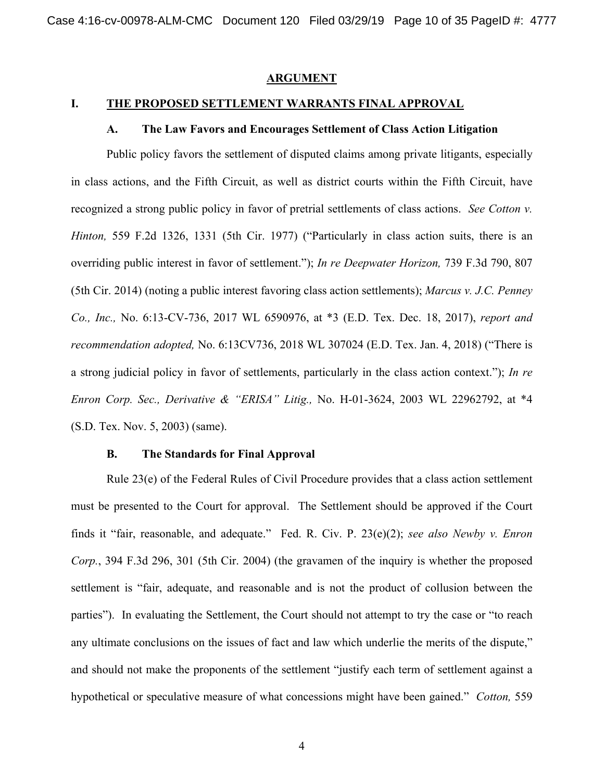#### **ARGUMENT**

### **I. THE PROPOSED SETTLEMENT WARRANTS FINAL APPROVAL**

#### **A. The Law Favors and Encourages Settlement of Class Action Litigation**

Public policy favors the settlement of disputed claims among private litigants, especially in class actions, and the Fifth Circuit, as well as district courts within the Fifth Circuit, have recognized a strong public policy in favor of pretrial settlements of class actions. *See Cotton v. Hinton,* 559 F.2d 1326, 1331 (5th Cir. 1977) ("Particularly in class action suits, there is an overriding public interest in favor of settlement."); *In re Deepwater Horizon,* 739 F.3d 790, 807 (5th Cir. 2014) (noting a public interest favoring class action settlements); *Marcus v. J.C. Penney Co., Inc.,* No. 6:13-CV-736, 2017 WL 6590976, at \*3 (E.D. Tex. Dec. 18, 2017), *report and recommendation adopted,* No. 6:13CV736, 2018 WL 307024 (E.D. Tex. Jan. 4, 2018) ("There is a strong judicial policy in favor of settlements, particularly in the class action context."); *In re Enron Corp. Sec., Derivative & "ERISA" Litig.,* No. H-01-3624, 2003 WL 22962792, at \*4 (S.D. Tex. Nov. 5, 2003) (same).

#### **B. The Standards for Final Approval**

Rule 23(e) of the Federal Rules of Civil Procedure provides that a class action settlement must be presented to the Court for approval. The Settlement should be approved if the Court finds it "fair, reasonable, and adequate." Fed. R. Civ. P. 23(e)(2); *see also Newby v. Enron Corp.*, 394 F.3d 296, 301 (5th Cir. 2004) (the gravamen of the inquiry is whether the proposed settlement is "fair, adequate, and reasonable and is not the product of collusion between the parties"). In evaluating the Settlement, the Court should not attempt to try the case or "to reach any ultimate conclusions on the issues of fact and law which underlie the merits of the dispute," and should not make the proponents of the settlement "justify each term of settlement against a hypothetical or speculative measure of what concessions might have been gained." *Cotton,* 559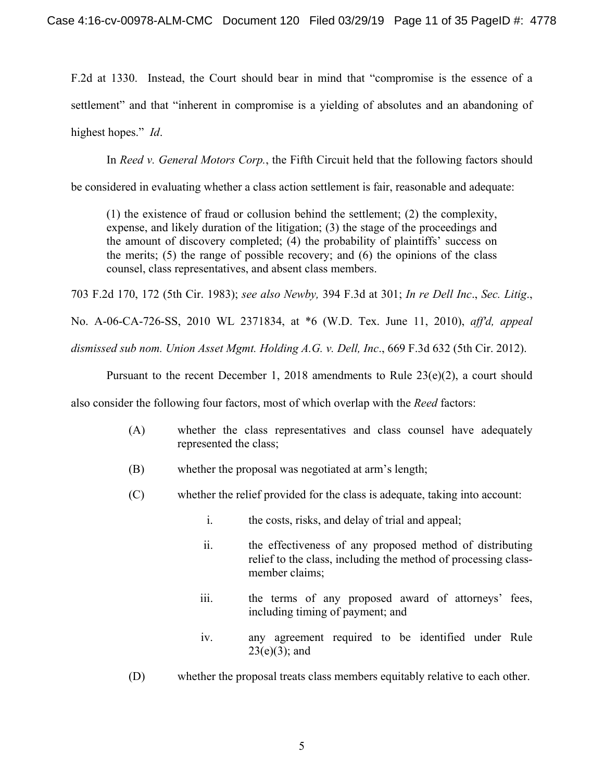F.2d at 1330. Instead, the Court should bear in mind that "compromise is the essence of a settlement" and that "inherent in compromise is a yielding of absolutes and an abandoning of highest hopes." *Id*.

In *Reed v. General Motors Corp.*, the Fifth Circuit held that the following factors should

be considered in evaluating whether a class action settlement is fair, reasonable and adequate:

(1) the existence of fraud or collusion behind the settlement; (2) the complexity, expense, and likely duration of the litigation; (3) the stage of the proceedings and the amount of discovery completed; (4) the probability of plaintiffs' success on the merits; (5) the range of possible recovery; and (6) the opinions of the class counsel, class representatives, and absent class members.

703 F.2d 170, 172 (5th Cir. 1983); *see also Newby,* 394 F.3d at 301; *In re Dell Inc*., *Sec. Litig*.,

No. A-06-CA-726-SS, 2010 WL 2371834, at \*6 (W.D. Tex. June 11, 2010), *aff'd, appeal* 

*dismissed sub nom. Union Asset Mgmt. Holding A.G. v. Dell, Inc*., 669 F.3d 632 (5th Cir. 2012).

Pursuant to the recent December 1, 2018 amendments to Rule  $23(e)(2)$ , a court should

also consider the following four factors, most of which overlap with the *Reed* factors:

- (A) whether the class representatives and class counsel have adequately represented the class;
- (B) whether the proposal was negotiated at arm's length;
- (C) whether the relief provided for the class is adequate, taking into account:
	- i. the costs, risks, and delay of trial and appeal;
	- ii. the effectiveness of any proposed method of distributing relief to the class, including the method of processing classmember claims;
	- iii. the terms of any proposed award of attorneys' fees, including timing of payment; and
	- iv. any agreement required to be identified under Rule  $23(e)(3)$ ; and
- (D) whether the proposal treats class members equitably relative to each other.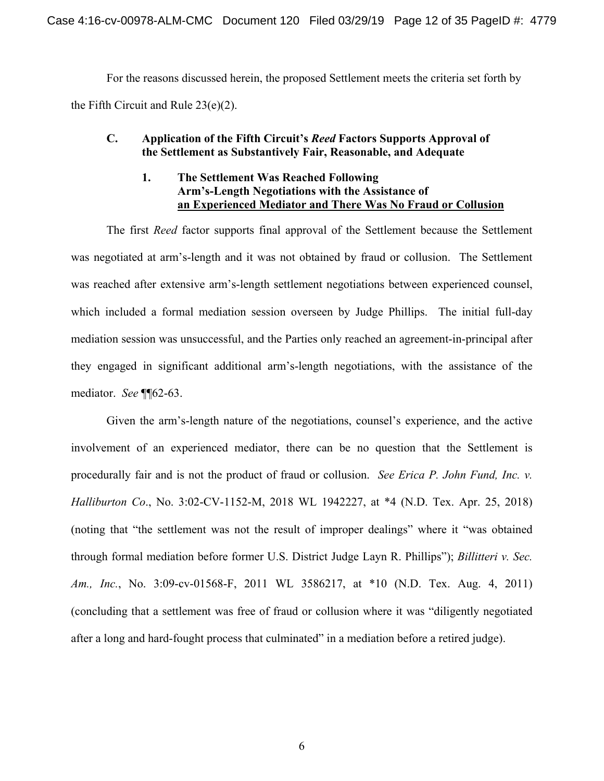For the reasons discussed herein, the proposed Settlement meets the criteria set forth by the Fifth Circuit and Rule 23(e)(2).

### **C. Application of the Fifth Circuit's** *Reed* **Factors Supports Approval of the Settlement as Substantively Fair, Reasonable, and Adequate**

### **1. The Settlement Was Reached Following Arm's-Length Negotiations with the Assistance of an Experienced Mediator and There Was No Fraud or Collusion**

The first *Reed* factor supports final approval of the Settlement because the Settlement was negotiated at arm's-length and it was not obtained by fraud or collusion. The Settlement was reached after extensive arm's-length settlement negotiations between experienced counsel, which included a formal mediation session overseen by Judge Phillips. The initial full-day mediation session was unsuccessful, and the Parties only reached an agreement-in-principal after they engaged in significant additional arm's-length negotiations, with the assistance of the mediator. *See* ¶¶62-63.

Given the arm's-length nature of the negotiations, counsel's experience, and the active involvement of an experienced mediator, there can be no question that the Settlement is procedurally fair and is not the product of fraud or collusion. *See Erica P. John Fund, Inc. v. Halliburton Co*., No. 3:02-CV-1152-M, 2018 WL 1942227, at \*4 (N.D. Tex. Apr. 25, 2018) (noting that "the settlement was not the result of improper dealings" where it "was obtained through formal mediation before former U.S. District Judge Layn R. Phillips"); *Billitteri v. Sec. Am., Inc.*, No. 3:09-cv-01568-F, 2011 WL 3586217, at \*10 (N.D. Tex. Aug. 4, 2011) (concluding that a settlement was free of fraud or collusion where it was "diligently negotiated after a long and hard-fought process that culminated" in a mediation before a retired judge).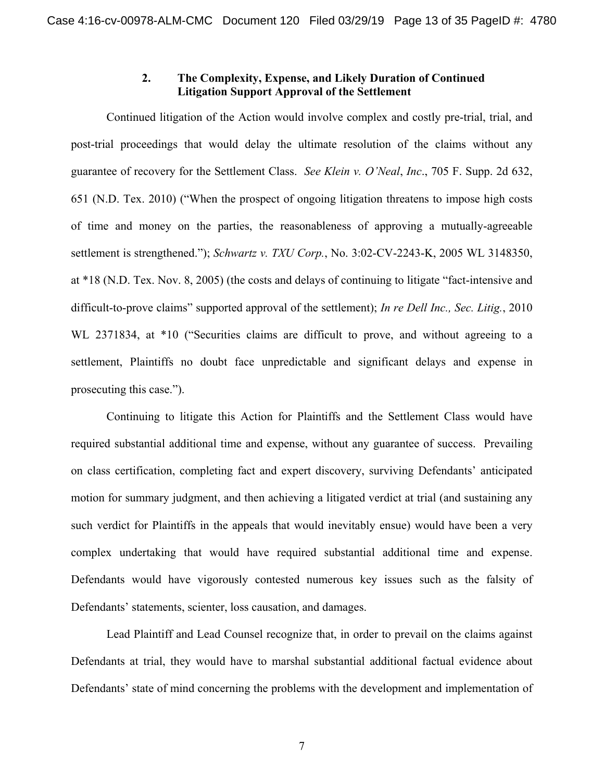### **2. The Complexity, Expense, and Likely Duration of Continued Litigation Support Approval of the Settlement**

Continued litigation of the Action would involve complex and costly pre-trial, trial, and post-trial proceedings that would delay the ultimate resolution of the claims without any guarantee of recovery for the Settlement Class. *See Klein v. O'Neal*, *Inc*., 705 F. Supp. 2d 632, 651 (N.D. Tex. 2010) ("When the prospect of ongoing litigation threatens to impose high costs of time and money on the parties, the reasonableness of approving a mutually-agreeable settlement is strengthened."); *Schwartz v. TXU Corp.*, No. 3:02-CV-2243-K, 2005 WL 3148350, at \*18 (N.D. Tex. Nov. 8, 2005) (the costs and delays of continuing to litigate "fact-intensive and difficult-to-prove claims" supported approval of the settlement); *In re Dell Inc., Sec. Litig.*, 2010 WL 2371834, at \*10 ("Securities claims are difficult to prove, and without agreeing to a settlement, Plaintiffs no doubt face unpredictable and significant delays and expense in prosecuting this case.").

Continuing to litigate this Action for Plaintiffs and the Settlement Class would have required substantial additional time and expense, without any guarantee of success. Prevailing on class certification, completing fact and expert discovery, surviving Defendants' anticipated motion for summary judgment, and then achieving a litigated verdict at trial (and sustaining any such verdict for Plaintiffs in the appeals that would inevitably ensue) would have been a very complex undertaking that would have required substantial additional time and expense. Defendants would have vigorously contested numerous key issues such as the falsity of Defendants' statements, scienter, loss causation, and damages.

Lead Plaintiff and Lead Counsel recognize that, in order to prevail on the claims against Defendants at trial, they would have to marshal substantial additional factual evidence about Defendants' state of mind concerning the problems with the development and implementation of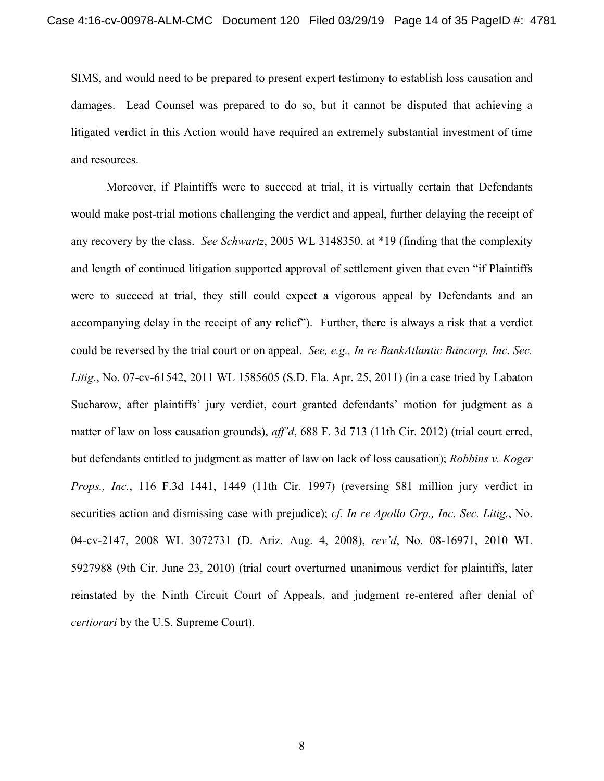SIMS, and would need to be prepared to present expert testimony to establish loss causation and damages. Lead Counsel was prepared to do so, but it cannot be disputed that achieving a litigated verdict in this Action would have required an extremely substantial investment of time and resources.

Moreover, if Plaintiffs were to succeed at trial, it is virtually certain that Defendants would make post-trial motions challenging the verdict and appeal, further delaying the receipt of any recovery by the class. *See Schwartz*, 2005 WL 3148350, at \*19 (finding that the complexity and length of continued litigation supported approval of settlement given that even "if Plaintiffs were to succeed at trial, they still could expect a vigorous appeal by Defendants and an accompanying delay in the receipt of any relief"). Further, there is always a risk that a verdict could be reversed by the trial court or on appeal. *See, e.g., In re BankAtlantic Bancorp, Inc*. *Sec. Litig*., No. 07-cv-61542, 2011 WL 1585605 (S.D. Fla. Apr. 25, 2011) (in a case tried by Labaton Sucharow, after plaintiffs' jury verdict, court granted defendants' motion for judgment as a matter of law on loss causation grounds), *aff'd*, 688 F. 3d 713 (11th Cir. 2012) (trial court erred, but defendants entitled to judgment as matter of law on lack of loss causation); *Robbins v. Koger Props., Inc.*, 116 F.3d 1441, 1449 (11th Cir. 1997) (reversing \$81 million jury verdict in securities action and dismissing case with prejudice); *cf. In re Apollo Grp., Inc. Sec. Litig.*, No. 04-cv-2147, 2008 WL 3072731 (D. Ariz. Aug. 4, 2008), *rev'd*, No. 08-16971, 2010 WL 5927988 (9th Cir. June 23, 2010) (trial court overturned unanimous verdict for plaintiffs, later reinstated by the Ninth Circuit Court of Appeals, and judgment re-entered after denial of *certiorari* by the U.S. Supreme Court).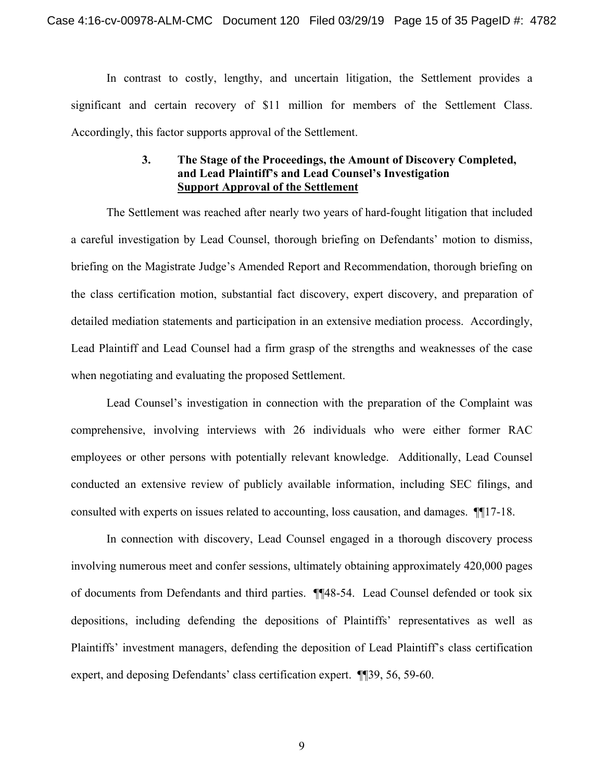In contrast to costly, lengthy, and uncertain litigation, the Settlement provides a significant and certain recovery of \$11 million for members of the Settlement Class. Accordingly, this factor supports approval of the Settlement.

### **3. The Stage of the Proceedings, the Amount of Discovery Completed, and Lead Plaintiff's and Lead Counsel's Investigation Support Approval of the Settlement**

The Settlement was reached after nearly two years of hard-fought litigation that included a careful investigation by Lead Counsel, thorough briefing on Defendants' motion to dismiss, briefing on the Magistrate Judge's Amended Report and Recommendation, thorough briefing on the class certification motion, substantial fact discovery, expert discovery, and preparation of detailed mediation statements and participation in an extensive mediation process. Accordingly, Lead Plaintiff and Lead Counsel had a firm grasp of the strengths and weaknesses of the case when negotiating and evaluating the proposed Settlement.

Lead Counsel's investigation in connection with the preparation of the Complaint was comprehensive, involving interviews with 26 individuals who were either former RAC employees or other persons with potentially relevant knowledge. Additionally, Lead Counsel conducted an extensive review of publicly available information, including SEC filings, and consulted with experts on issues related to accounting, loss causation, and damages. ¶¶17-18.

In connection with discovery, Lead Counsel engaged in a thorough discovery process involving numerous meet and confer sessions, ultimately obtaining approximately 420,000 pages of documents from Defendants and third parties. ¶¶48-54. Lead Counsel defended or took six depositions, including defending the depositions of Plaintiffs' representatives as well as Plaintiffs' investment managers, defending the deposition of Lead Plaintiff's class certification expert, and deposing Defendants' class certification expert. ¶¶39, 56, 59-60.

9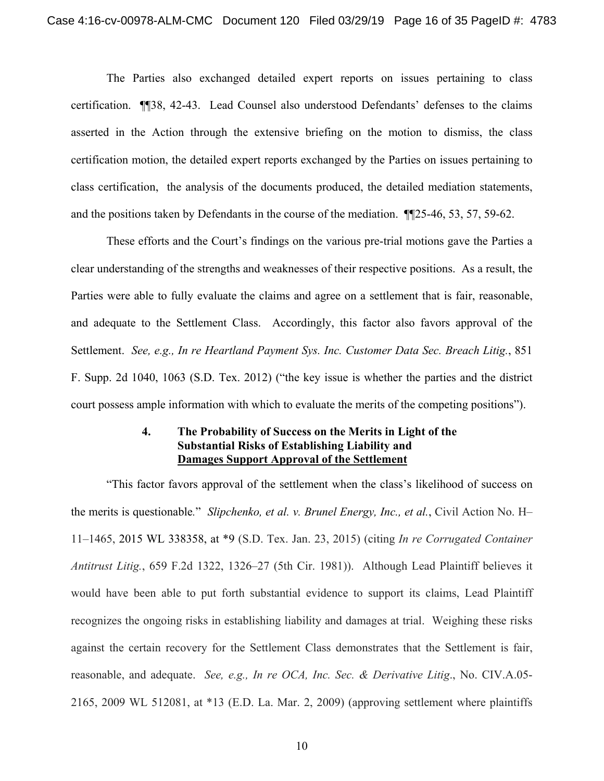The Parties also exchanged detailed expert reports on issues pertaining to class certification. ¶¶38, 42-43. Lead Counsel also understood Defendants' defenses to the claims asserted in the Action through the extensive briefing on the motion to dismiss, the class certification motion, the detailed expert reports exchanged by the Parties on issues pertaining to class certification, the analysis of the documents produced, the detailed mediation statements, and the positions taken by Defendants in the course of the mediation. ¶¶25-46, 53, 57, 59-62.

These efforts and the Court's findings on the various pre-trial motions gave the Parties a clear understanding of the strengths and weaknesses of their respective positions. As a result, the Parties were able to fully evaluate the claims and agree on a settlement that is fair, reasonable, and adequate to the Settlement Class. Accordingly, this factor also favors approval of the Settlement. *See, e.g., In re Heartland Payment Sys. Inc. Customer Data Sec. Breach Litig.*, 851 F. Supp. 2d 1040, 1063 (S.D. Tex. 2012) ("the key issue is whether the parties and the district court possess ample information with which to evaluate the merits of the competing positions").

### **4. The Probability of Success on the Merits in Light of the Substantial Risks of Establishing Liability and Damages Support Approval of the Settlement**

"This factor favors approval of the settlement when the class's likelihood of success on the merits is questionable*.*" *Slipchenko, et al. v. Brunel Energy, Inc., et al.*, Civil Action No. H– 11–1465, 2015 WL 338358, at \*9 (S.D. Tex. Jan. 23, 2015) (citing *In re Corrugated Container Antitrust Litig.*, 659 F.2d 1322, 1326–27 (5th Cir. 1981)). Although Lead Plaintiff believes it would have been able to put forth substantial evidence to support its claims, Lead Plaintiff recognizes the ongoing risks in establishing liability and damages at trial. Weighing these risks against the certain recovery for the Settlement Class demonstrates that the Settlement is fair, reasonable, and adequate. *See, e.g., In re OCA, Inc. Sec. & Derivative Litig*., No. CIV.A.05- 2165, 2009 WL 512081, at \*13 (E.D. La. Mar. 2, 2009) (approving settlement where plaintiffs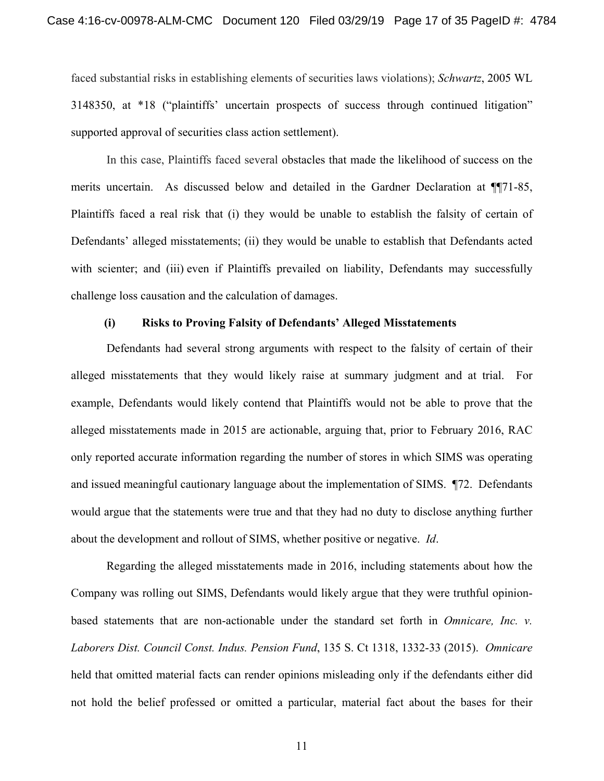faced substantial risks in establishing elements of securities laws violations); *Schwartz*, 2005 WL 3148350, at \*18 ("plaintiffs' uncertain prospects of success through continued litigation" supported approval of securities class action settlement).

In this case, Plaintiffs faced several obstacles that made the likelihood of success on the merits uncertain. As discussed below and detailed in the Gardner Declaration at ¶¶71-85, Plaintiffs faced a real risk that (i) they would be unable to establish the falsity of certain of Defendants' alleged misstatements; (ii) they would be unable to establish that Defendants acted with scienter; and (iii) even if Plaintiffs prevailed on liability, Defendants may successfully challenge loss causation and the calculation of damages.

#### **(i) Risks to Proving Falsity of Defendants' Alleged Misstatements**

Defendants had several strong arguments with respect to the falsity of certain of their alleged misstatements that they would likely raise at summary judgment and at trial. For example, Defendants would likely contend that Plaintiffs would not be able to prove that the alleged misstatements made in 2015 are actionable, arguing that, prior to February 2016, RAC only reported accurate information regarding the number of stores in which SIMS was operating and issued meaningful cautionary language about the implementation of SIMS. ¶72. Defendants would argue that the statements were true and that they had no duty to disclose anything further about the development and rollout of SIMS, whether positive or negative. *Id*.

Regarding the alleged misstatements made in 2016, including statements about how the Company was rolling out SIMS, Defendants would likely argue that they were truthful opinionbased statements that are non-actionable under the standard set forth in *Omnicare, Inc. v. Laborers Dist. Council Const. Indus. Pension Fund*, 135 S. Ct 1318, 1332-33 (2015). *Omnicare* held that omitted material facts can render opinions misleading only if the defendants either did not hold the belief professed or omitted a particular, material fact about the bases for their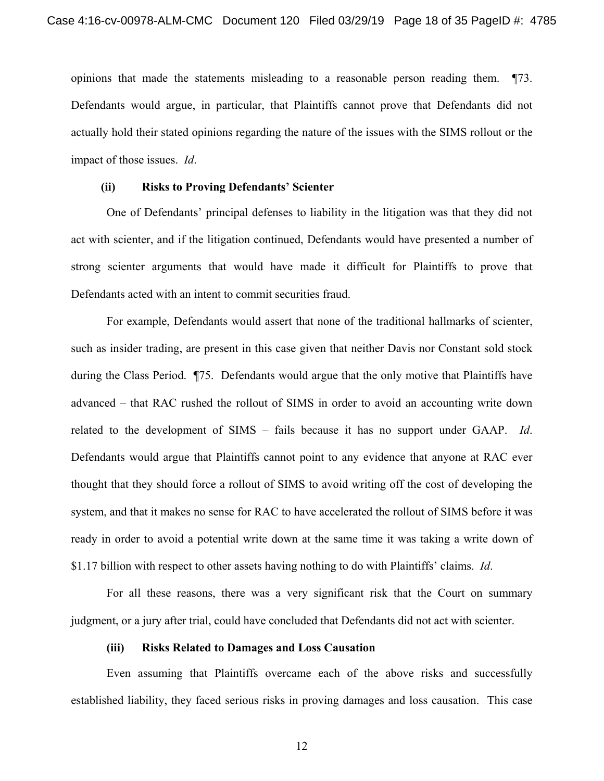opinions that made the statements misleading to a reasonable person reading them. ¶73. Defendants would argue, in particular, that Plaintiffs cannot prove that Defendants did not actually hold their stated opinions regarding the nature of the issues with the SIMS rollout or the impact of those issues. *Id*.

#### **(ii) Risks to Proving Defendants' Scienter**

One of Defendants' principal defenses to liability in the litigation was that they did not act with scienter, and if the litigation continued, Defendants would have presented a number of strong scienter arguments that would have made it difficult for Plaintiffs to prove that Defendants acted with an intent to commit securities fraud.

For example, Defendants would assert that none of the traditional hallmarks of scienter, such as insider trading, are present in this case given that neither Davis nor Constant sold stock during the Class Period. ¶75. Defendants would argue that the only motive that Plaintiffs have advanced – that RAC rushed the rollout of SIMS in order to avoid an accounting write down related to the development of SIMS – fails because it has no support under GAAP. *Id*. Defendants would argue that Plaintiffs cannot point to any evidence that anyone at RAC ever thought that they should force a rollout of SIMS to avoid writing off the cost of developing the system, and that it makes no sense for RAC to have accelerated the rollout of SIMS before it was ready in order to avoid a potential write down at the same time it was taking a write down of \$1.17 billion with respect to other assets having nothing to do with Plaintiffs' claims. *Id*.

For all these reasons, there was a very significant risk that the Court on summary judgment, or a jury after trial, could have concluded that Defendants did not act with scienter.

#### **(iii) Risks Related to Damages and Loss Causation**

Even assuming that Plaintiffs overcame each of the above risks and successfully established liability, they faced serious risks in proving damages and loss causation. This case

12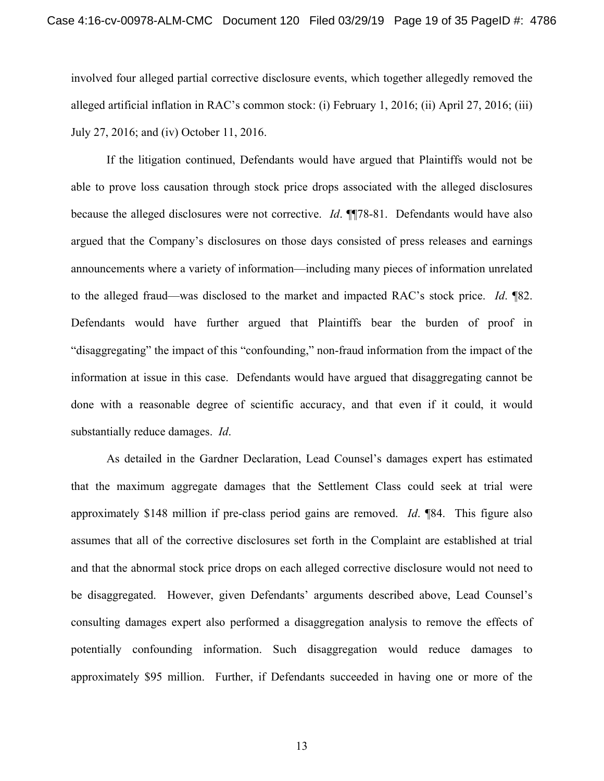involved four alleged partial corrective disclosure events, which together allegedly removed the alleged artificial inflation in RAC's common stock: (i) February 1, 2016; (ii) April 27, 2016; (iii) July 27, 2016; and (iv) October 11, 2016.

If the litigation continued, Defendants would have argued that Plaintiffs would not be able to prove loss causation through stock price drops associated with the alleged disclosures because the alleged disclosures were not corrective. *Id*. ¶¶78-81. Defendants would have also argued that the Company's disclosures on those days consisted of press releases and earnings announcements where a variety of information—including many pieces of information unrelated to the alleged fraud—was disclosed to the market and impacted RAC's stock price. *Id*. ¶82. Defendants would have further argued that Plaintiffs bear the burden of proof in "disaggregating" the impact of this "confounding," non-fraud information from the impact of the information at issue in this case. Defendants would have argued that disaggregating cannot be done with a reasonable degree of scientific accuracy, and that even if it could, it would substantially reduce damages. *Id*.

As detailed in the Gardner Declaration, Lead Counsel's damages expert has estimated that the maximum aggregate damages that the Settlement Class could seek at trial were approximately \$148 million if pre-class period gains are removed. *Id*. ¶84. This figure also assumes that all of the corrective disclosures set forth in the Complaint are established at trial and that the abnormal stock price drops on each alleged corrective disclosure would not need to be disaggregated. However, given Defendants' arguments described above, Lead Counsel's consulting damages expert also performed a disaggregation analysis to remove the effects of potentially confounding information. Such disaggregation would reduce damages to approximately \$95 million. Further, if Defendants succeeded in having one or more of the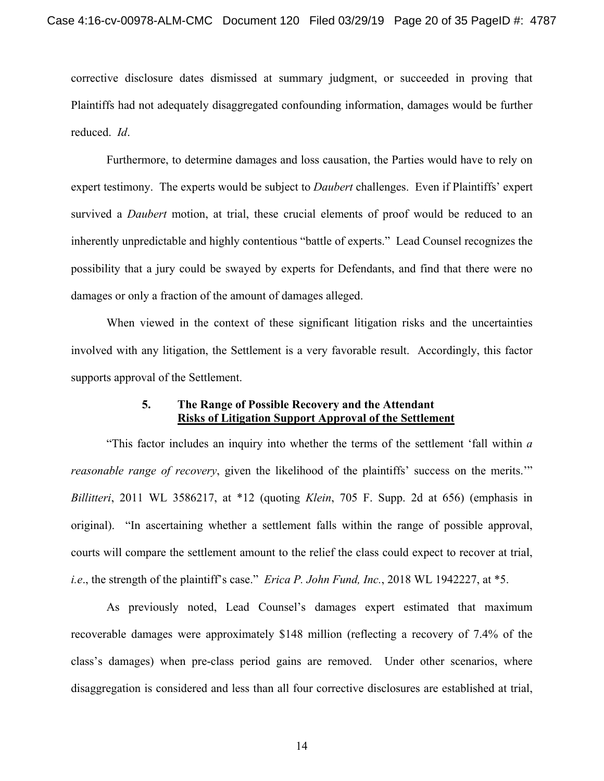corrective disclosure dates dismissed at summary judgment, or succeeded in proving that Plaintiffs had not adequately disaggregated confounding information, damages would be further reduced. *Id*.

Furthermore, to determine damages and loss causation, the Parties would have to rely on expert testimony. The experts would be subject to *Daubert* challenges. Even if Plaintiffs' expert survived a *Daubert* motion, at trial, these crucial elements of proof would be reduced to an inherently unpredictable and highly contentious "battle of experts." Lead Counsel recognizes the possibility that a jury could be swayed by experts for Defendants, and find that there were no damages or only a fraction of the amount of damages alleged.

When viewed in the context of these significant litigation risks and the uncertainties involved with any litigation, the Settlement is a very favorable result. Accordingly, this factor supports approval of the Settlement.

### **5. The Range of Possible Recovery and the Attendant Risks of Litigation Support Approval of the Settlement**

"This factor includes an inquiry into whether the terms of the settlement 'fall within *a reasonable range of recovery*, given the likelihood of the plaintiffs' success on the merits.'" *Billitteri*, 2011 WL 3586217, at \*12 (quoting *Klein*, 705 F. Supp. 2d at 656) (emphasis in original). "In ascertaining whether a settlement falls within the range of possible approval, courts will compare the settlement amount to the relief the class could expect to recover at trial, *i.e*., the strength of the plaintiff's case." *Erica P. John Fund, Inc.*, 2018 WL 1942227, at \*5.

As previously noted, Lead Counsel's damages expert estimated that maximum recoverable damages were approximately \$148 million (reflecting a recovery of 7.4% of the class's damages) when pre-class period gains are removed. Under other scenarios, where disaggregation is considered and less than all four corrective disclosures are established at trial,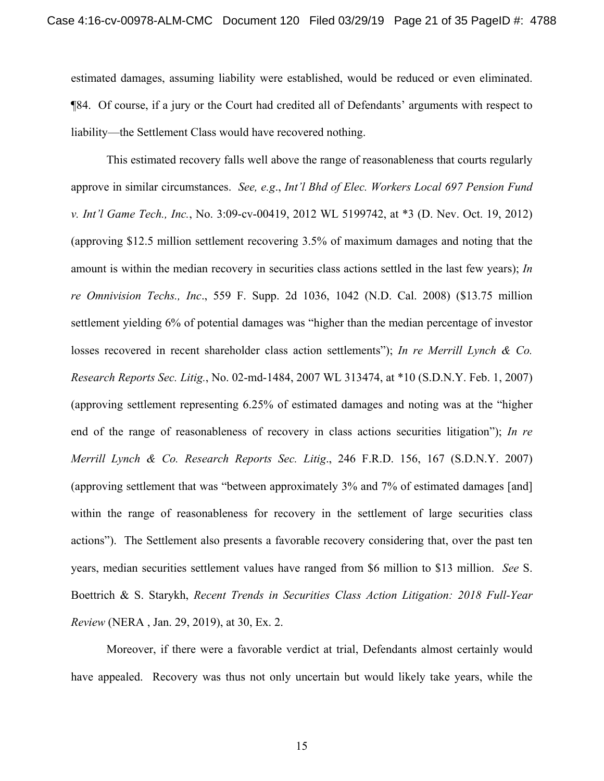estimated damages, assuming liability were established, would be reduced or even eliminated. ¶84. Of course, if a jury or the Court had credited all of Defendants' arguments with respect to liability—the Settlement Class would have recovered nothing.

This estimated recovery falls well above the range of reasonableness that courts regularly approve in similar circumstances. *See, e.g*., *Int'l Bhd of Elec. Workers Local 697 Pension Fund v. Int'l Game Tech., Inc.*, No. 3:09-cv-00419, 2012 WL 5199742, at \*3 (D. Nev. Oct. 19, 2012) (approving \$12.5 million settlement recovering 3.5% of maximum damages and noting that the amount is within the median recovery in securities class actions settled in the last few years); *In re Omnivision Techs., Inc*., 559 F. Supp. 2d 1036, 1042 (N.D. Cal. 2008) (\$13.75 million settlement yielding 6% of potential damages was "higher than the median percentage of investor losses recovered in recent shareholder class action settlements"); *In re Merrill Lynch & Co. Research Reports Sec. Litig.*, No. 02-md-1484, 2007 WL 313474, at \*10 (S.D.N.Y. Feb. 1, 2007) (approving settlement representing 6.25% of estimated damages and noting was at the "higher end of the range of reasonableness of recovery in class actions securities litigation"); *In re Merrill Lynch & Co. Research Reports Sec. Litig*., 246 F.R.D. 156, 167 (S.D.N.Y. 2007) (approving settlement that was "between approximately 3% and 7% of estimated damages [and] within the range of reasonableness for recovery in the settlement of large securities class actions"). The Settlement also presents a favorable recovery considering that, over the past ten years, median securities settlement values have ranged from \$6 million to \$13 million. *See* S. Boettrich & S. Starykh, *Recent Trends in Securities Class Action Litigation: 2018 Full-Year Review* (NERA , Jan. 29, 2019), at 30, Ex. 2.

Moreover, if there were a favorable verdict at trial, Defendants almost certainly would have appealed. Recovery was thus not only uncertain but would likely take years, while the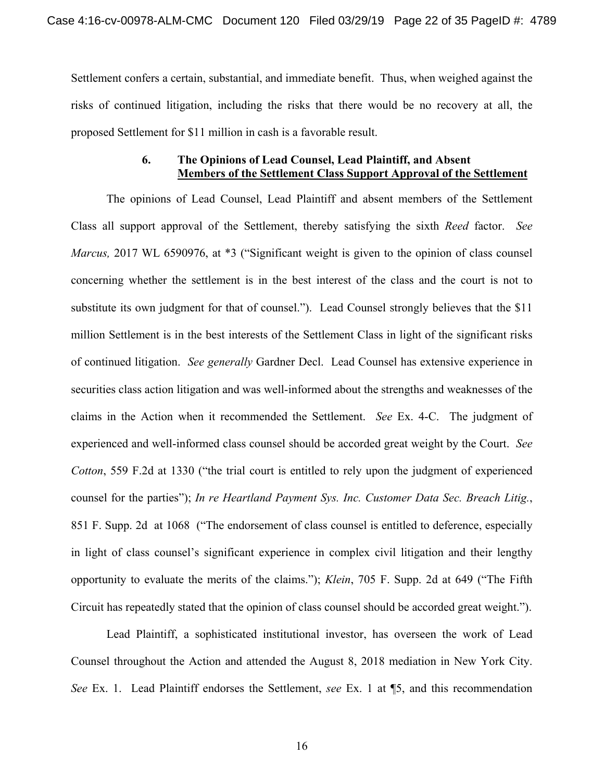Settlement confers a certain, substantial, and immediate benefit. Thus, when weighed against the risks of continued litigation, including the risks that there would be no recovery at all, the proposed Settlement for \$11 million in cash is a favorable result.

### **6. The Opinions of Lead Counsel, Lead Plaintiff, and Absent Members of the Settlement Class Support Approval of the Settlement**

The opinions of Lead Counsel, Lead Plaintiff and absent members of the Settlement Class all support approval of the Settlement, thereby satisfying the sixth *Reed* factor. *See Marcus,* 2017 WL 6590976, at \*3 ("Significant weight is given to the opinion of class counsel concerning whether the settlement is in the best interest of the class and the court is not to substitute its own judgment for that of counsel."). Lead Counsel strongly believes that the \$11 million Settlement is in the best interests of the Settlement Class in light of the significant risks of continued litigation. *See generally* Gardner Decl. Lead Counsel has extensive experience in securities class action litigation and was well-informed about the strengths and weaknesses of the claims in the Action when it recommended the Settlement. *See* Ex. 4-C. The judgment of experienced and well-informed class counsel should be accorded great weight by the Court. *See Cotton*, 559 F.2d at 1330 ("the trial court is entitled to rely upon the judgment of experienced counsel for the parties"); *In re Heartland Payment Sys. Inc. Customer Data Sec. Breach Litig.*, 851 F. Supp. 2d at 1068 ("The endorsement of class counsel is entitled to deference, especially in light of class counsel's significant experience in complex civil litigation and their lengthy opportunity to evaluate the merits of the claims."); *Klein*, 705 F. Supp. 2d at 649 ("The Fifth Circuit has repeatedly stated that the opinion of class counsel should be accorded great weight.").

Lead Plaintiff, a sophisticated institutional investor, has overseen the work of Lead Counsel throughout the Action and attended the August 8, 2018 mediation in New York City. *See* Ex. 1. Lead Plaintiff endorses the Settlement, *see* Ex. 1 at ¶5, and this recommendation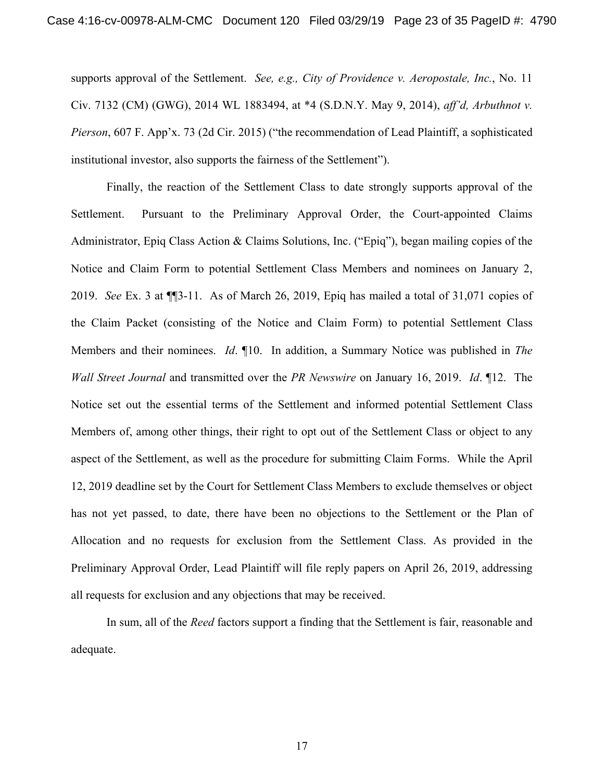supports approval of the Settlement. *See, e.g., City of Providence v. Aeropostale, Inc.*, No. 11 Civ. 7132 (CM) (GWG), 2014 WL 1883494, at \*4 (S.D.N.Y. May 9, 2014), *aff'd, Arbuthnot v. Pierson*, 607 F. App'x. 73 (2d Cir. 2015) ("the recommendation of Lead Plaintiff, a sophisticated institutional investor, also supports the fairness of the Settlement").

Finally, the reaction of the Settlement Class to date strongly supports approval of the Settlement. Pursuant to the Preliminary Approval Order, the Court-appointed Claims Administrator, Epiq Class Action & Claims Solutions, Inc. ("Epiq"), began mailing copies of the Notice and Claim Form to potential Settlement Class Members and nominees on January 2, 2019. *See* Ex. 3 at ¶¶3-11. As of March 26, 2019, Epiq has mailed a total of 31,071 copies of the Claim Packet (consisting of the Notice and Claim Form) to potential Settlement Class Members and their nominees. *Id*. ¶10. In addition, a Summary Notice was published in *The Wall Street Journal* and transmitted over the *PR Newswire* on January 16, 2019. *Id*. ¶12. The Notice set out the essential terms of the Settlement and informed potential Settlement Class Members of, among other things, their right to opt out of the Settlement Class or object to any aspect of the Settlement, as well as the procedure for submitting Claim Forms. While the April 12, 2019 deadline set by the Court for Settlement Class Members to exclude themselves or object has not yet passed, to date, there have been no objections to the Settlement or the Plan of Allocation and no requests for exclusion from the Settlement Class. As provided in the Preliminary Approval Order, Lead Plaintiff will file reply papers on April 26, 2019, addressing all requests for exclusion and any objections that may be received.

In sum, all of the *Reed* factors support a finding that the Settlement is fair, reasonable and adequate.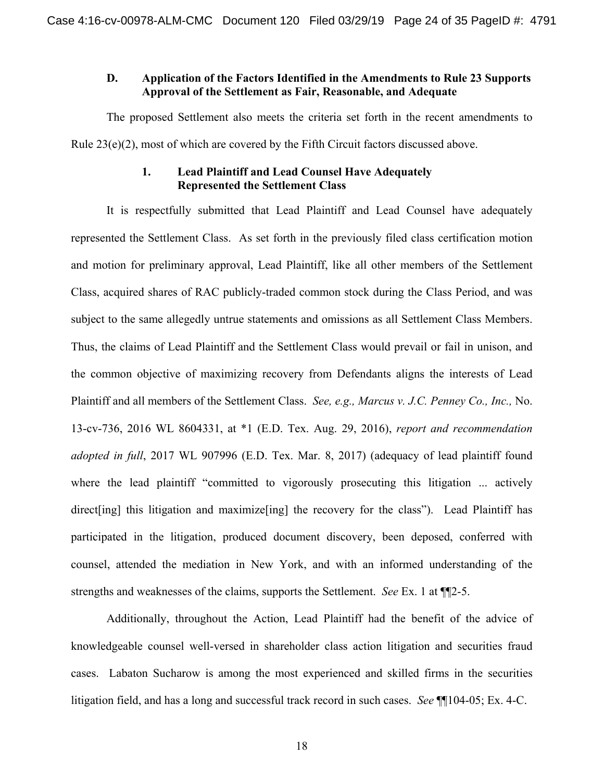### **D. Application of the Factors Identified in the Amendments to Rule 23 Supports Approval of the Settlement as Fair, Reasonable, and Adequate**

The proposed Settlement also meets the criteria set forth in the recent amendments to Rule 23(e)(2), most of which are covered by the Fifth Circuit factors discussed above.

### **1. Lead Plaintiff and Lead Counsel Have Adequately Represented the Settlement Class**

It is respectfully submitted that Lead Plaintiff and Lead Counsel have adequately represented the Settlement Class. As set forth in the previously filed class certification motion and motion for preliminary approval, Lead Plaintiff, like all other members of the Settlement Class, acquired shares of RAC publicly-traded common stock during the Class Period, and was subject to the same allegedly untrue statements and omissions as all Settlement Class Members. Thus, the claims of Lead Plaintiff and the Settlement Class would prevail or fail in unison, and the common objective of maximizing recovery from Defendants aligns the interests of Lead Plaintiff and all members of the Settlement Class. *See, e.g., Marcus v. J.C. Penney Co., Inc.,* No. 13-cv-736, 2016 WL 8604331, at \*1 (E.D. Tex. Aug. 29, 2016), *report and recommendation adopted in full*, 2017 WL 907996 (E.D. Tex. Mar. 8, 2017) (adequacy of lead plaintiff found where the lead plaintiff "committed to vigorously prosecuting this litigation ... actively direct [ing] this litigation and maximize [ing] the recovery for the class"). Lead Plaintiff has participated in the litigation, produced document discovery, been deposed, conferred with counsel, attended the mediation in New York, and with an informed understanding of the strengths and weaknesses of the claims, supports the Settlement. *See* Ex. 1 at ¶¶2-5.

Additionally, throughout the Action, Lead Plaintiff had the benefit of the advice of knowledgeable counsel well-versed in shareholder class action litigation and securities fraud cases. Labaton Sucharow is among the most experienced and skilled firms in the securities litigation field, and has a long and successful track record in such cases. *See* ¶¶104-05; Ex. 4-C.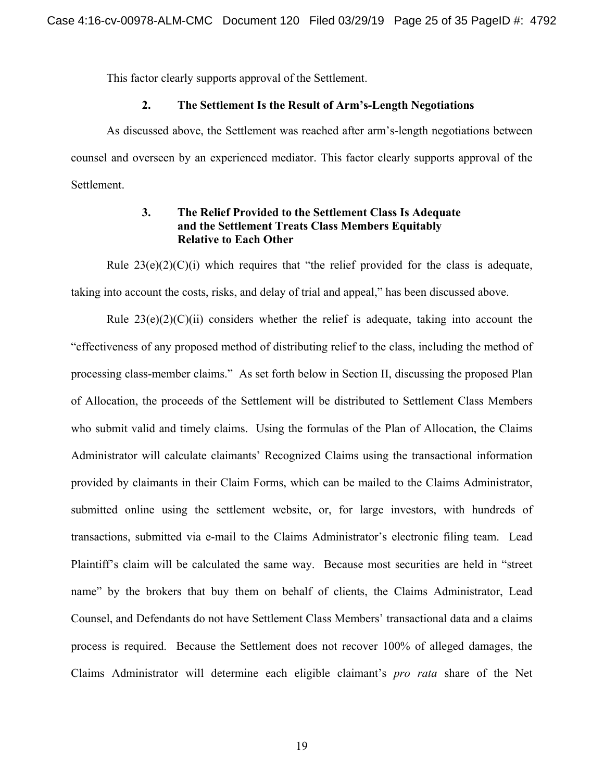This factor clearly supports approval of the Settlement.

### **2. The Settlement Is the Result of Arm's-Length Negotiations**

As discussed above, the Settlement was reached after arm's-length negotiations between counsel and overseen by an experienced mediator. This factor clearly supports approval of the Settlement.

### **3. The Relief Provided to the Settlement Class Is Adequate and the Settlement Treats Class Members Equitably Relative to Each Other**

Rule  $23(e)(2)(C)(i)$  which requires that "the relief provided for the class is adequate, taking into account the costs, risks, and delay of trial and appeal," has been discussed above.

Rule  $23(e)(2)(C)(ii)$  considers whether the relief is adequate, taking into account the "effectiveness of any proposed method of distributing relief to the class, including the method of processing class-member claims." As set forth below in Section II, discussing the proposed Plan of Allocation, the proceeds of the Settlement will be distributed to Settlement Class Members who submit valid and timely claims. Using the formulas of the Plan of Allocation, the Claims Administrator will calculate claimants' Recognized Claims using the transactional information provided by claimants in their Claim Forms, which can be mailed to the Claims Administrator, submitted online using the settlement website, or, for large investors, with hundreds of transactions, submitted via e-mail to the Claims Administrator's electronic filing team. Lead Plaintiff's claim will be calculated the same way. Because most securities are held in "street name" by the brokers that buy them on behalf of clients, the Claims Administrator, Lead Counsel, and Defendants do not have Settlement Class Members' transactional data and a claims process is required. Because the Settlement does not recover 100% of alleged damages, the Claims Administrator will determine each eligible claimant's *pro rata* share of the Net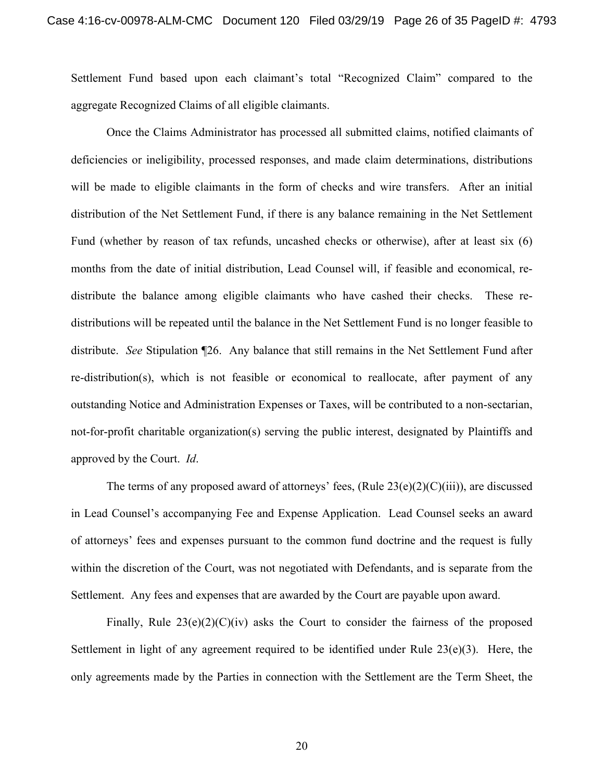Settlement Fund based upon each claimant's total "Recognized Claim" compared to the aggregate Recognized Claims of all eligible claimants.

Once the Claims Administrator has processed all submitted claims, notified claimants of deficiencies or ineligibility, processed responses, and made claim determinations, distributions will be made to eligible claimants in the form of checks and wire transfers. After an initial distribution of the Net Settlement Fund, if there is any balance remaining in the Net Settlement Fund (whether by reason of tax refunds, uncashed checks or otherwise), after at least six (6) months from the date of initial distribution, Lead Counsel will, if feasible and economical, redistribute the balance among eligible claimants who have cashed their checks. These redistributions will be repeated until the balance in the Net Settlement Fund is no longer feasible to distribute. *See* Stipulation ¶26. Any balance that still remains in the Net Settlement Fund after re-distribution(s), which is not feasible or economical to reallocate, after payment of any outstanding Notice and Administration Expenses or Taxes, will be contributed to a non-sectarian, not-for-profit charitable organization(s) serving the public interest, designated by Plaintiffs and approved by the Court. *Id*.

The terms of any proposed award of attorneys' fees,  $(Rule 23(e)(2)(C)(iii))$ , are discussed in Lead Counsel's accompanying Fee and Expense Application. Lead Counsel seeks an award of attorneys' fees and expenses pursuant to the common fund doctrine and the request is fully within the discretion of the Court, was not negotiated with Defendants, and is separate from the Settlement. Any fees and expenses that are awarded by the Court are payable upon award.

Finally, Rule  $23(e)(2)(C)(iv)$  asks the Court to consider the fairness of the proposed Settlement in light of any agreement required to be identified under Rule 23(e)(3). Here, the only agreements made by the Parties in connection with the Settlement are the Term Sheet, the

20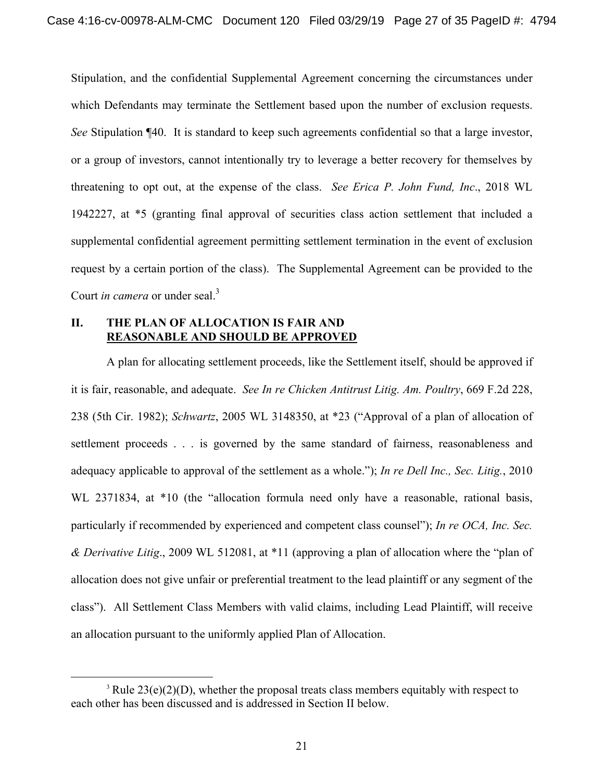Stipulation, and the confidential Supplemental Agreement concerning the circumstances under which Defendants may terminate the Settlement based upon the number of exclusion requests. *See* Stipulation ¶40. It is standard to keep such agreements confidential so that a large investor, or a group of investors, cannot intentionally try to leverage a better recovery for themselves by threatening to opt out, at the expense of the class. *See Erica P. John Fund, Inc*., 2018 WL 1942227, at \*5 (granting final approval of securities class action settlement that included a supplemental confidential agreement permitting settlement termination in the event of exclusion request by a certain portion of the class). The Supplemental Agreement can be provided to the Court *in camera* or under seal.<sup>3</sup>

### **II. THE PLAN OF ALLOCATION IS FAIR AND REASONABLE AND SHOULD BE APPROVED**

A plan for allocating settlement proceeds, like the Settlement itself, should be approved if it is fair, reasonable, and adequate. *See In re Chicken Antitrust Litig. Am. Poultry*, 669 F.2d 228, 238 (5th Cir. 1982); *Schwartz*, 2005 WL 3148350, at \*23 ("Approval of a plan of allocation of settlement proceeds . . . is governed by the same standard of fairness, reasonableness and adequacy applicable to approval of the settlement as a whole."); *In re Dell Inc., Sec. Litig.*, 2010 WL 2371834, at  $*10$  (the "allocation formula need only have a reasonable, rational basis, particularly if recommended by experienced and competent class counsel"); *In re OCA, Inc. Sec. & Derivative Litig*., 2009 WL 512081, at \*11 (approving a plan of allocation where the "plan of allocation does not give unfair or preferential treatment to the lead plaintiff or any segment of the class"). All Settlement Class Members with valid claims, including Lead Plaintiff, will receive an allocation pursuant to the uniformly applied Plan of Allocation.

<sup>&</sup>lt;sup>3</sup> Rule  $23(e)(2)(D)$ , whether the proposal treats class members equitably with respect to each other has been discussed and is addressed in Section II below.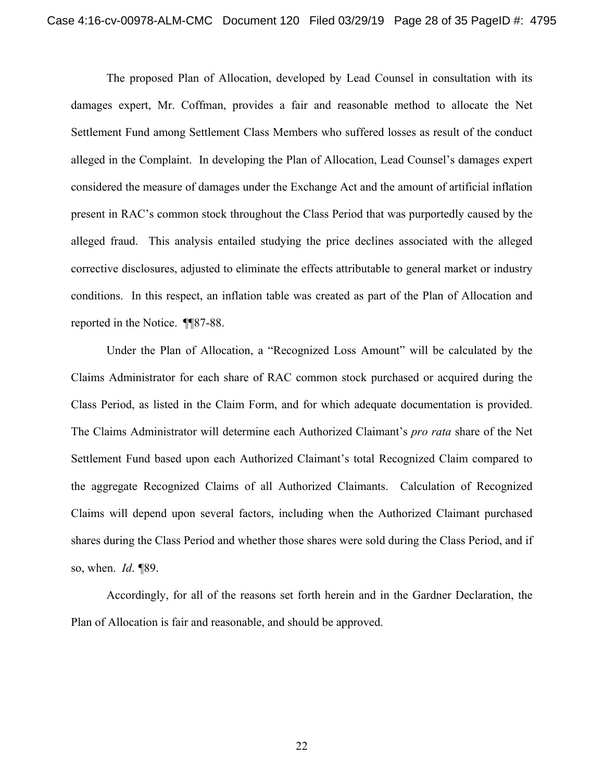The proposed Plan of Allocation, developed by Lead Counsel in consultation with its damages expert, Mr. Coffman, provides a fair and reasonable method to allocate the Net Settlement Fund among Settlement Class Members who suffered losses as result of the conduct alleged in the Complaint. In developing the Plan of Allocation, Lead Counsel's damages expert considered the measure of damages under the Exchange Act and the amount of artificial inflation present in RAC's common stock throughout the Class Period that was purportedly caused by the alleged fraud. This analysis entailed studying the price declines associated with the alleged corrective disclosures, adjusted to eliminate the effects attributable to general market or industry conditions. In this respect, an inflation table was created as part of the Plan of Allocation and reported in the Notice. ¶¶87-88.

Under the Plan of Allocation, a "Recognized Loss Amount" will be calculated by the Claims Administrator for each share of RAC common stock purchased or acquired during the Class Period, as listed in the Claim Form, and for which adequate documentation is provided. The Claims Administrator will determine each Authorized Claimant's *pro rata* share of the Net Settlement Fund based upon each Authorized Claimant's total Recognized Claim compared to the aggregate Recognized Claims of all Authorized Claimants. Calculation of Recognized Claims will depend upon several factors, including when the Authorized Claimant purchased shares during the Class Period and whether those shares were sold during the Class Period, and if so, when. *Id*. *¶*89.

Accordingly, for all of the reasons set forth herein and in the Gardner Declaration, the Plan of Allocation is fair and reasonable, and should be approved.

22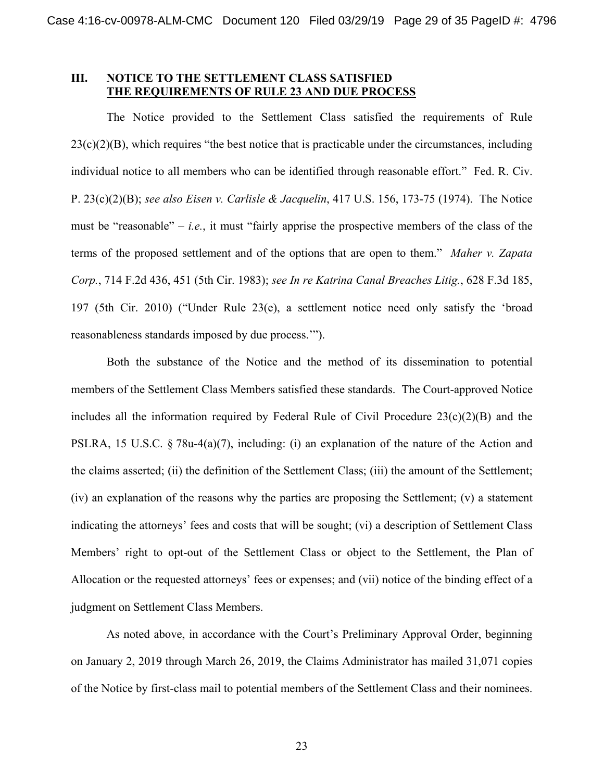### **III. NOTICE TO THE SETTLEMENT CLASS SATISFIED THE REQUIREMENTS OF RULE 23 AND DUE PROCESS**

The Notice provided to the Settlement Class satisfied the requirements of Rule  $23(c)(2)(B)$ , which requires "the best notice that is practicable under the circumstances, including individual notice to all members who can be identified through reasonable effort." Fed. R. Civ. P. 23(c)(2)(B); *see also Eisen v. Carlisle & Jacquelin*, 417 U.S. 156, 173-75 (1974). The Notice must be "reasonable"  $-i.e.,$  it must "fairly apprise the prospective members of the class of the terms of the proposed settlement and of the options that are open to them." *Maher v. Zapata Corp.*, 714 F.2d 436, 451 (5th Cir. 1983); *see In re Katrina Canal Breaches Litig.*, 628 F.3d 185, 197 (5th Cir. 2010) ("Under Rule 23(e), a settlement notice need only satisfy the 'broad reasonableness standards imposed by due process.'").

Both the substance of the Notice and the method of its dissemination to potential members of the Settlement Class Members satisfied these standards. The Court-approved Notice includes all the information required by Federal Rule of Civil Procedure  $23(c)(2)(B)$  and the PSLRA, 15 U.S.C. § 78u-4(a)(7), including: (i) an explanation of the nature of the Action and the claims asserted; (ii) the definition of the Settlement Class; (iii) the amount of the Settlement; (iv) an explanation of the reasons why the parties are proposing the Settlement; (v) a statement indicating the attorneys' fees and costs that will be sought; (vi) a description of Settlement Class Members' right to opt-out of the Settlement Class or object to the Settlement, the Plan of Allocation or the requested attorneys' fees or expenses; and (vii) notice of the binding effect of a judgment on Settlement Class Members.

As noted above, in accordance with the Court's Preliminary Approval Order, beginning on January 2, 2019 through March 26, 2019, the Claims Administrator has mailed 31,071 copies of the Notice by first-class mail to potential members of the Settlement Class and their nominees.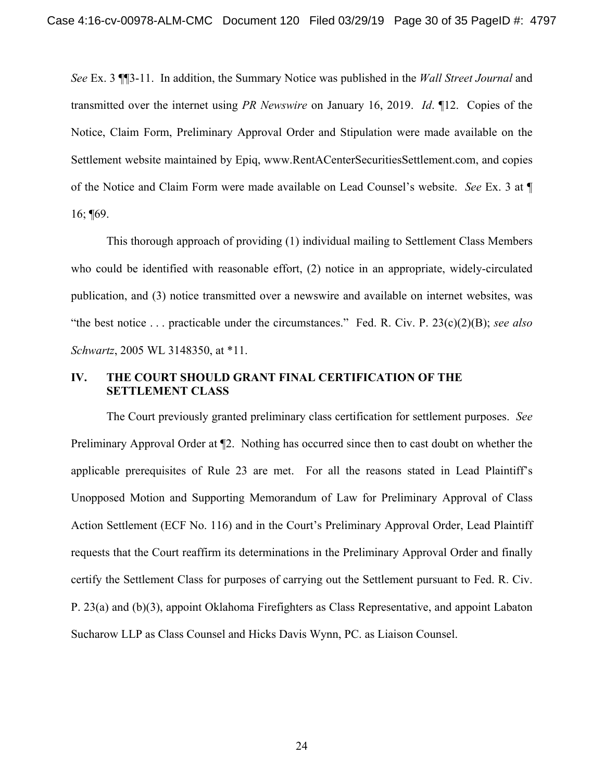*See* Ex. 3 ¶¶3-11. In addition, the Summary Notice was published in the *Wall Street Journal* and transmitted over the internet using *PR Newswire* on January 16, 2019. *Id*. ¶12. Copies of the Notice, Claim Form, Preliminary Approval Order and Stipulation were made available on the Settlement website maintained by Epiq, www.RentACenterSecuritiesSettlement.com, and copies of the Notice and Claim Form were made available on Lead Counsel's website. *See* Ex. 3 at ¶ 16; ¶69.

This thorough approach of providing (1) individual mailing to Settlement Class Members who could be identified with reasonable effort, (2) notice in an appropriate, widely-circulated publication, and (3) notice transmitted over a newswire and available on internet websites, was "the best notice . . . practicable under the circumstances." Fed. R. Civ. P. 23(c)(2)(B); *see also Schwartz*, 2005 WL 3148350, at \*11.

### **IV. THE COURT SHOULD GRANT FINAL CERTIFICATION OF THE SETTLEMENT CLASS**

The Court previously granted preliminary class certification for settlement purposes. *See* Preliminary Approval Order at ¶2. Nothing has occurred since then to cast doubt on whether the applicable prerequisites of Rule 23 are met. For all the reasons stated in Lead Plaintiff's Unopposed Motion and Supporting Memorandum of Law for Preliminary Approval of Class Action Settlement (ECF No. 116) and in the Court's Preliminary Approval Order, Lead Plaintiff requests that the Court reaffirm its determinations in the Preliminary Approval Order and finally certify the Settlement Class for purposes of carrying out the Settlement pursuant to Fed. R. Civ. P. 23(a) and (b)(3), appoint Oklahoma Firefighters as Class Representative, and appoint Labaton Sucharow LLP as Class Counsel and Hicks Davis Wynn, PC. as Liaison Counsel.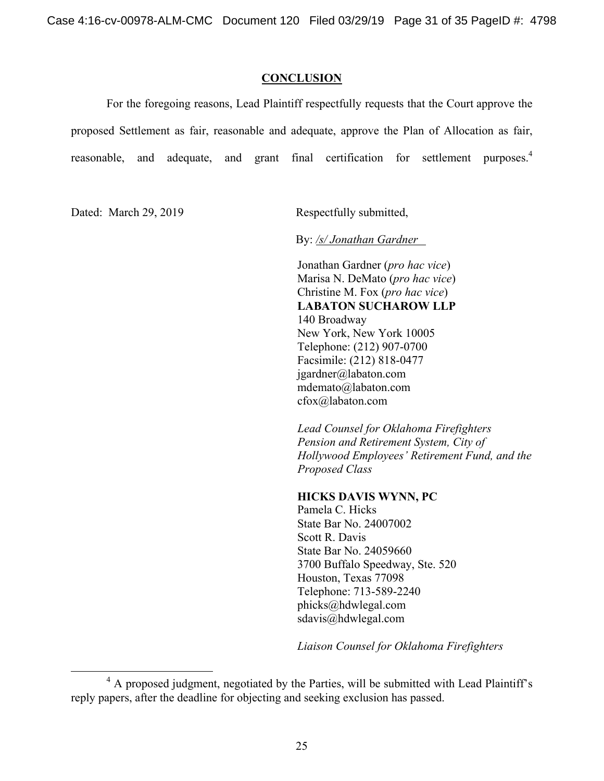#### **CONCLUSION**

For the foregoing reasons, Lead Plaintiff respectfully requests that the Court approve the proposed Settlement as fair, reasonable and adequate, approve the Plan of Allocation as fair, reasonable, and adequate, and grant final certification for settlement purposes.<sup>4</sup>

Dated: March 29, 2019 Respectfully submitted,

By: */s/ Jonathan Gardner* 

Jonathan Gardner (*pro hac vice*) Marisa N. DeMato (*pro hac vice*) Christine M. Fox (*pro hac vice*) **LABATON SUCHAROW LLP**  140 Broadway New York, New York 10005 Telephone: (212) 907-0700 Facsimile: (212) 818-0477 jgardner@labaton.com mdemato@labaton.com cfox@labaton.com

*Lead Counsel for Oklahoma Firefighters Pension and Retirement System, City of Hollywood Employees' Retirement Fund, and the Proposed Class* 

### **HICKS DAVIS WYNN, PC**

Pamela C. Hicks State Bar No. 24007002 Scott R. Davis State Bar No. 24059660 3700 Buffalo Speedway, Ste. 520 Houston, Texas 77098 Telephone: 713-589-2240 phicks@hdwlegal.com sdavis@hdwlegal.com

*Liaison Counsel for Oklahoma Firefighters* 

 $\overline{4}$ <sup>4</sup> A proposed judgment, negotiated by the Parties, will be submitted with Lead Plaintiff's reply papers, after the deadline for objecting and seeking exclusion has passed.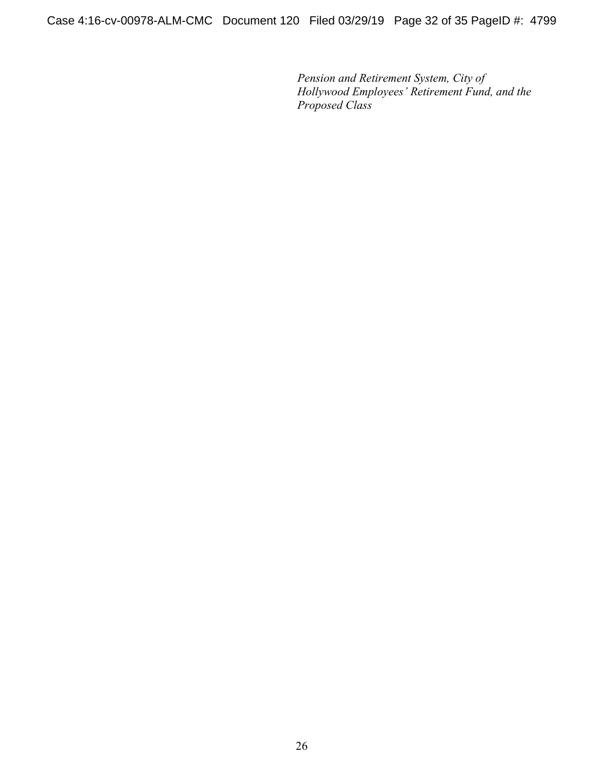Case 4:16-cv-00978-ALM-CMC Document 120 Filed 03/29/19 Page 32 of 35 PageID #: 4799

*Pension and Retirement System, City of Hollywood Employees' Retirement Fund, and the Proposed Class*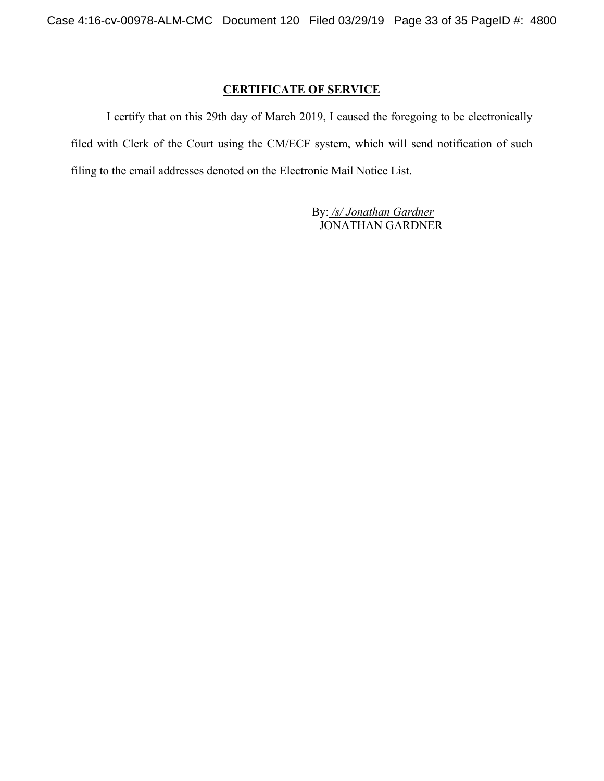## **CERTIFICATE OF SERVICE**

I certify that on this 29th day of March 2019, I caused the foregoing to be electronically filed with Clerk of the Court using the CM/ECF system, which will send notification of such filing to the email addresses denoted on the Electronic Mail Notice List.

> By: */s/ Jonathan Gardner* JONATHAN GARDNER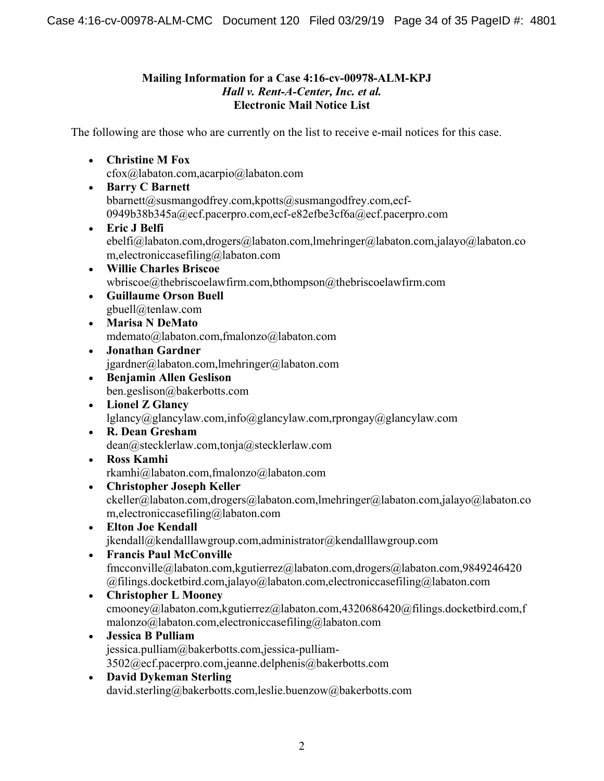## **Mailing Information for a Case 4:16-cv-00978-ALM-KPJ**  *Hall v. Rent-A-Center, Inc. et al.*  **Electronic Mail Notice List**

The following are those who are currently on the list to receive e-mail notices for this case.

**Christine M Fox** 

cfox@labaton.com,acarpio@labaton.com

- **Barry C Barnett**  bbarnett@susmangodfrey.com,kpotts@susmangodfrey.com,ecf-0949b38b345a@ecf.pacerpro.com,ecf-e82efbe3cf6a@ecf.pacerpro.com
- **Eric J Belfi**  ebelfi@labaton.com,drogers@labaton.com,lmehringer@labaton.com,jalayo@labaton.co m,electroniccasefiling@labaton.com
- **Willie Charles Briscoe**  wbriscoe@thebriscoelawfirm.com,bthompson@thebriscoelawfirm.com
- **Guillaume Orson Buell**  gbuell@tenlaw.com
- **Marisa N DeMato**  mdemato@labaton.com,fmalonzo@labaton.com
- **Jonathan Gardner**  jgardner@labaton.com,lmehringer@labaton.com
- **Benjamin Allen Geslison**  ben.geslison@bakerbotts.com
- **Lionel Z Glancy**  lglancy@glancylaw.com,info@glancylaw.com,rprongay@glancylaw.com
- **R. Dean Gresham**  dean@stecklerlaw.com,tonja@stecklerlaw.com
- **Ross Kamhi**  rkamhi@labaton.com,fmalonzo@labaton.com
- **Christopher Joseph Keller**  ckeller@labaton.com,drogers@labaton.com,lmehringer@labaton.com,jalayo@labaton.co m,electroniccasefiling@labaton.com
- **Elton Joe Kendall**  jkendall@kendalllawgroup.com,administrator@kendalllawgroup.com
- **Francis Paul McConville**  fmcconville@labaton.com,kgutierrez@labaton.com,drogers@labaton.com,9849246420 @filings.docketbird.com,jalayo@labaton.com,electroniccasefiling@labaton.com
- **Christopher L Mooney**  cmooney@labaton.com,kgutierrez@labaton.com,4320686420@filings.docketbird.com,f malonzo@labaton.com,electroniccasefiling@labaton.com
- **Jessica B Pulliam**  jessica.pulliam@bakerbotts.com,jessica-pulliam-3502@ecf.pacerpro.com,jeanne.delphenis@bakerbotts.com
- **David Dykeman Sterling**  david.sterling@bakerbotts.com,leslie.buenzow@bakerbotts.com